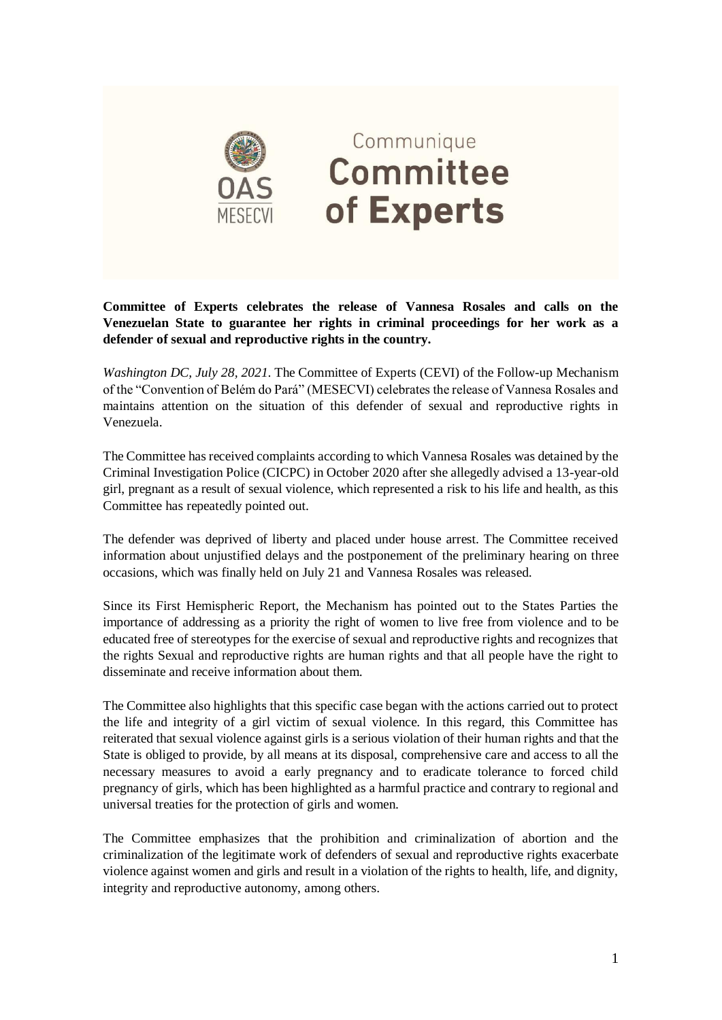

## Communique **Committee** of Experts

**Committee of Experts celebrates the release of Vannesa Rosales and calls on the Venezuelan State to guarantee her rights in criminal proceedings for her work as a defender of sexual and reproductive rights in the country.**

*Washington DC, July 28, 2021*. The Committee of Experts (CEVI) of the Follow-up Mechanism of the "Convention of Belém do Pará" (MESECVI) celebrates the release of Vannesa Rosales and maintains attention on the situation of this defender of sexual and reproductive rights in Venezuela.

The Committee has received complaints according to which Vannesa Rosales was detained by the Criminal Investigation Police (CICPC) in October 2020 after she allegedly advised a 13-year-old girl, pregnant as a result of sexual violence, which represented a risk to his life and health, as this Committee has repeatedly pointed out.

The defender was deprived of liberty and placed under house arrest. The Committee received information about unjustified delays and the postponement of the preliminary hearing on three occasions, which was finally held on July 21 and Vannesa Rosales was released.

Since its First Hemispheric Report, the Mechanism has pointed out to the States Parties the importance of addressing as a priority the right of women to live free from violence and to be educated free of stereotypes for the exercise of sexual and reproductive rights and recognizes that the rights Sexual and reproductive rights are human rights and that all people have the right to disseminate and receive information about them.

The Committee also highlights that this specific case began with the actions carried out to protect the life and integrity of a girl victim of sexual violence. In this regard, this Committee has reiterated that sexual violence against girls is a serious violation of their human rights and that the State is obliged to provide, by all means at its disposal, comprehensive care and access to all the necessary measures to avoid a early pregnancy and to eradicate tolerance to forced child pregnancy of girls, which has been highlighted as a harmful practice and contrary to regional and universal treaties for the protection of girls and women.

The Committee emphasizes that the prohibition and criminalization of abortion and the criminalization of the legitimate work of defenders of sexual and reproductive rights exacerbate violence against women and girls and result in a violation of the rights to health, life, and dignity, integrity and reproductive autonomy, among others.